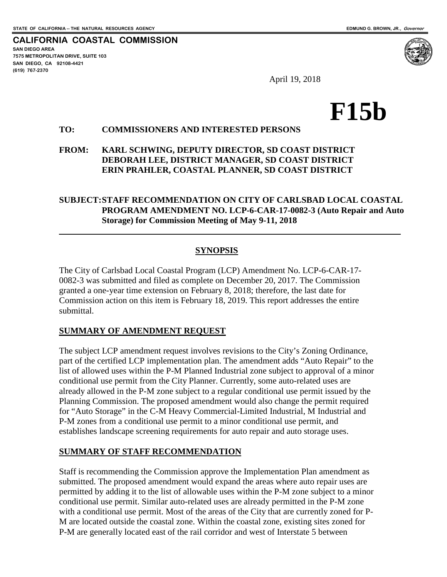**CALIFORNIA COASTAL COMMISSION SAN DIEGO AREA 7575 METROPOLITAN DRIVE, SUITE 103 SAN DIEGO, CA 92108-4421 (619) 767-2370**

 $\overline{a}$ 

April 19, 2018

# **F15b**

### **TO: COMMISSIONERS AND INTERESTED PERSONS**

#### **FROM: KARL SCHWING, DEPUTY DIRECTOR, SD COAST DISTRICT DEBORAH LEE, DISTRICT MANAGER, SD COAST DISTRICT ERIN PRAHLER, COASTAL PLANNER, SD COAST DISTRICT**

#### **SUBJECT:STAFF RECOMMENDATION ON CITY OF CARLSBAD LOCAL COASTAL PROGRAM AMENDMENT NO. LCP-6-CAR-17-0082-3 (Auto Repair and Auto Storage) for Commission Meeting of May 9-11, 2018**

#### **SYNOPSIS**

The City of Carlsbad Local Coastal Program (LCP) Amendment No. LCP-6-CAR-17- 0082-3 was submitted and filed as complete on December 20, 2017. The Commission granted a one-year time extension on February 8, 2018; therefore, the last date for Commission action on this item is February 18, 2019. This report addresses the entire submittal.

#### **SUMMARY OF AMENDMENT REQUEST**

The subject LCP amendment request involves revisions to the City's Zoning Ordinance, part of the certified LCP implementation plan. The amendment adds "Auto Repair" to the list of allowed uses within the P-M Planned Industrial zone subject to approval of a minor conditional use permit from the City Planner. Currently, some auto-related uses are already allowed in the P-M zone subject to a regular conditional use permit issued by the Planning Commission. The proposed amendment would also change the permit required for "Auto Storage" in the C-M Heavy Commercial-Limited Industrial, M Industrial and P-M zones from a conditional use permit to a minor conditional use permit, and establishes landscape screening requirements for auto repair and auto storage uses.

#### **SUMMARY OF STAFF RECOMMENDATION**

Staff is recommending the Commission approve the Implementation Plan amendment as submitted. The proposed amendment would expand the areas where auto repair uses are permitted by adding it to the list of allowable uses within the P-M zone subject to a minor conditional use permit. Similar auto-related uses are already permitted in the P-M zone with a conditional use permit. Most of the areas of the City that are currently zoned for P-M are located outside the coastal zone. Within the coastal zone, existing sites zoned for P-M are generally located east of the rail corridor and west of Interstate 5 between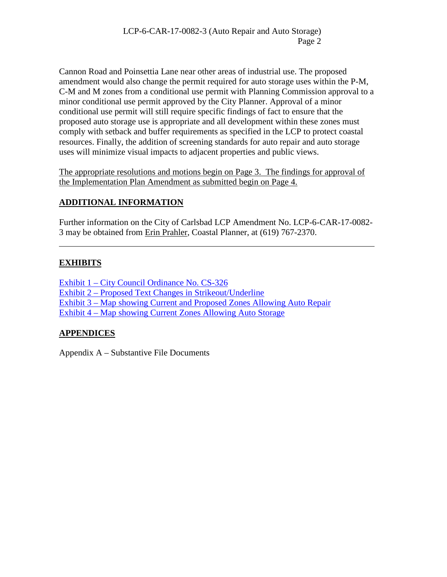Cannon Road and Poinsettia Lane near other areas of industrial use. The proposed amendment would also change the permit required for auto storage uses within the P-M, C-M and M zones from a conditional use permit with Planning Commission approval to a minor conditional use permit approved by the City Planner. Approval of a minor conditional use permit will still require specific findings of fact to ensure that the proposed auto storage use is appropriate and all development within these zones must comply with setback and buffer requirements as specified in the LCP to protect coastal resources. Finally, the addition of screening standards for auto repair and auto storage uses will minimize visual impacts to adjacent properties and public views.

The appropriate resolutions and motions begin on Page 3. The findings for approval of the Implementation Plan Amendment as submitted begin on Page 4.

# **ADDITIONAL INFORMATION**

Further information on the City of Carlsbad LCP Amendment No. LCP-6-CAR-17-0082- 3 may be obtained from Erin Prahler, Coastal Planner, at (619) 767-2370.

## **EXHIBITS**

 $\overline{a}$ 

[Exhibit 1 – City Council Ordinance No. CS-326](https://documents.coastal.ca.gov/reports/2018/5/F15b/F15b-5-2018-exhibits.pdf)  [Exhibit 2 – Proposed Text Changes in Strikeout/Underline](https://documents.coastal.ca.gov/reports/2018/5/F15b/F15b-5-2018-exhibits.pdf)  [Exhibit 3 – Map showing Current and Proposed Zones Allowing Auto Repair](https://documents.coastal.ca.gov/reports/2018/5/F15b/F15b-5-2018-exhibits.pdf) [Exhibit 4 – Map showing Current Zones Allowing Auto Storage](https://documents.coastal.ca.gov/reports/2018/5/F15b/F15b-5-2018-exhibits.pdf)

## **APPENDICES**

Appendix A – Substantive File Documents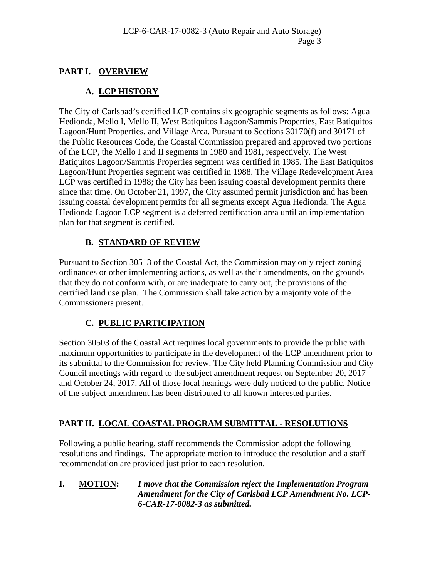# **PART I. OVERVIEW**

# **A. LCP HISTORY**

The City of Carlsbad's certified LCP contains six geographic segments as follows: Agua Hedionda, Mello I, Mello II, West Batiquitos Lagoon/Sammis Properties, East Batiquitos Lagoon/Hunt Properties, and Village Area. Pursuant to Sections 30170(f) and 30171 of the Public Resources Code, the Coastal Commission prepared and approved two portions of the LCP, the Mello I and II segments in 1980 and 1981, respectively. The West Batiquitos Lagoon/Sammis Properties segment was certified in 1985. The East Batiquitos Lagoon/Hunt Properties segment was certified in 1988. The Village Redevelopment Area LCP was certified in 1988; the City has been issuing coastal development permits there since that time. On October 21, 1997, the City assumed permit jurisdiction and has been issuing coastal development permits for all segments except Agua Hedionda. The Agua Hedionda Lagoon LCP segment is a deferred certification area until an implementation plan for that segment is certified.

# **B. STANDARD OF REVIEW**

Pursuant to Section 30513 of the Coastal Act, the Commission may only reject zoning ordinances or other implementing actions, as well as their amendments, on the grounds that they do not conform with, or are inadequate to carry out, the provisions of the certified land use plan. The Commission shall take action by a majority vote of the Commissioners present.

# **C. PUBLIC PARTICIPATION**

Section 30503 of the Coastal Act requires local governments to provide the public with maximum opportunities to participate in the development of the LCP amendment prior to its submittal to the Commission for review. The City held Planning Commission and City Council meetings with regard to the subject amendment request on September 20, 2017 and October 24, 2017. All of those local hearings were duly noticed to the public. Notice of the subject amendment has been distributed to all known interested parties.

# **PART II. LOCAL COASTAL PROGRAM SUBMITTAL - RESOLUTIONS**

Following a public hearing, staff recommends the Commission adopt the following resolutions and findings. The appropriate motion to introduce the resolution and a staff recommendation are provided just prior to each resolution.

**I. MOTION:** *I move that the Commission reject the Implementation Program Amendment for the City of Carlsbad LCP Amendment No. LCP-6-CAR-17-0082-3 as submitted.*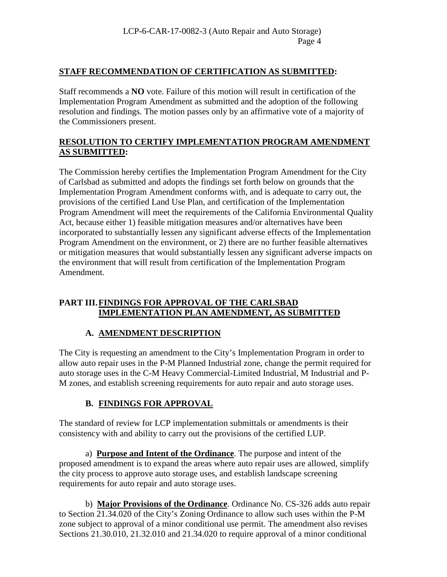## **STAFF RECOMMENDATION OF CERTIFICATION AS SUBMITTED:**

Staff recommends a **NO** vote. Failure of this motion will result in certification of the Implementation Program Amendment as submitted and the adoption of the following resolution and findings. The motion passes only by an affirmative vote of a majority of the Commissioners present.

## **RESOLUTION TO CERTIFY IMPLEMENTATION PROGRAM AMENDMENT AS SUBMITTED:**

The Commission hereby certifies the Implementation Program Amendment for the City of Carlsbad as submitted and adopts the findings set forth below on grounds that the Implementation Program Amendment conforms with, and is adequate to carry out, the provisions of the certified Land Use Plan, and certification of the Implementation Program Amendment will meet the requirements of the California Environmental Quality Act, because either 1) feasible mitigation measures and/or alternatives have been incorporated to substantially lessen any significant adverse effects of the Implementation Program Amendment on the environment, or 2) there are no further feasible alternatives or mitigation measures that would substantially lessen any significant adverse impacts on the environment that will result from certification of the Implementation Program Amendment.

## **PART III.FINDINGS FOR APPROVAL OF THE CARLSBAD IMPLEMENTATION PLAN AMENDMENT, AS SUBMITTED**

# **A. AMENDMENT DESCRIPTION**

The City is requesting an amendment to the City's Implementation Program in order to allow auto repair uses in the P-M Planned Industrial zone, change the permit required for auto storage uses in the C-M Heavy Commercial-Limited Industrial, M Industrial and P-M zones, and establish screening requirements for auto repair and auto storage uses.

# **B. FINDINGS FOR APPROVAL**

The standard of review for LCP implementation submittals or amendments is their consistency with and ability to carry out the provisions of the certified LUP.

a) **Purpose and Intent of the Ordinance**. The purpose and intent of the proposed amendment is to expand the areas where auto repair uses are allowed, simplify the city process to approve auto storage uses, and establish landscape screening requirements for auto repair and auto storage uses.

b) **Major Provisions of the Ordinance**. Ordinance No. CS-326 adds auto repair to Section 21.34.020 of the City's Zoning Ordinance to allow such uses within the P-M zone subject to approval of a minor conditional use permit. The amendment also revises Sections 21.30.010, 21.32.010 and 21.34.020 to require approval of a minor conditional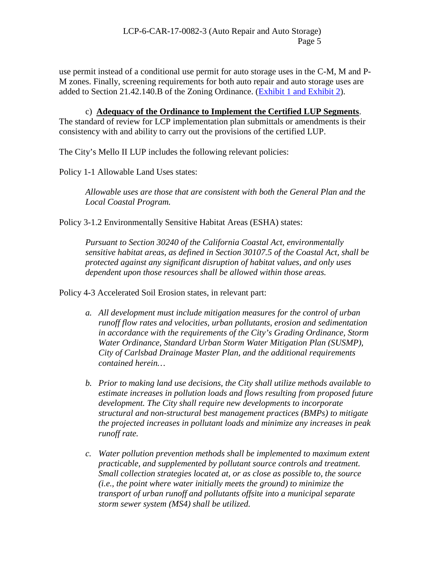use permit instead of a conditional use permit for auto storage uses in the C-M, M and P-M zones. Finally, screening requirements for both auto repair and auto storage uses are added to Section 21.42.140.B of the Zoning Ordinance. [\(Exhibit 1 and Exhibit 2\)](https://documents.coastal.ca.gov/reports/2018/5/F15b/F15b-5-2018-exhibits.pdf).

c) **Adequacy of the Ordinance to Implement the Certified LUP Segments**. The standard of review for LCP implementation plan submittals or amendments is their consistency with and ability to carry out the provisions of the certified LUP.

The City's Mello II LUP includes the following relevant policies:

Policy 1-1 Allowable Land Uses states:

*Allowable uses are those that are consistent with both the General Plan and the Local Coastal Program.* 

Policy 3-1.2 Environmentally Sensitive Habitat Areas (ESHA) states:

*Pursuant to Section 30240 of the California Coastal Act, environmentally sensitive habitat areas, as defined in Section 30107.5 of the Coastal Act, shall be protected against any significant disruption of habitat values, and only uses dependent upon those resources shall be allowed within those areas.*

Policy 4-3 Accelerated Soil Erosion states, in relevant part:

- *a. All development must include mitigation measures for the control of urban runoff flow rates and velocities, urban pollutants, erosion and sedimentation in accordance with the requirements of the City's Grading Ordinance, Storm Water Ordinance, Standard Urban Storm Water Mitigation Plan (SUSMP), City of Carlsbad Drainage Master Plan, and the additional requirements contained herein…*
- *b. Prior to making land use decisions, the City shall utilize methods available to estimate increases in pollution loads and flows resulting from proposed future development. The City shall require new developments to incorporate structural and non-structural best management practices (BMPs) to mitigate the projected increases in pollutant loads and minimize any increases in peak runoff rate.*
- *c. Water pollution prevention methods shall be implemented to maximum extent practicable, and supplemented by pollutant source controls and treatment. Small collection strategies located at, or as close as possible to, the source (i.e., the point where water initially meets the ground) to minimize the transport of urban runoff and pollutants offsite into a municipal separate storm sewer system (MS4) shall be utilized.*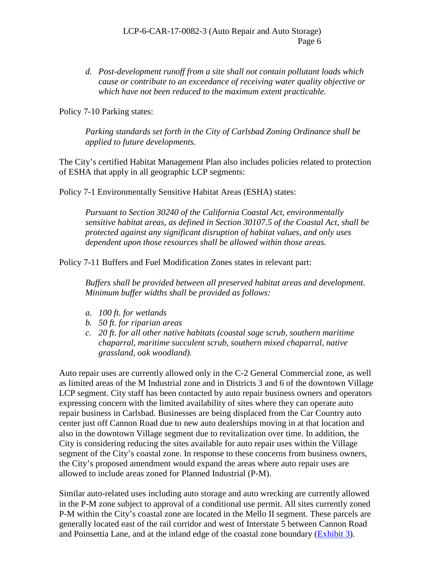*d. Post-development runoff from a site shall not contain pollutant loads which cause or contribute to an exceedance of receiving water quality objective or which have not been reduced to the maximum extent practicable.*

Policy 7-10 Parking states:

*Parking standards set forth in the City of Carlsbad Zoning Ordinance shall be applied to future developments.*

The City's certified Habitat Management Plan also includes policies related to protection of ESHA that apply in all geographic LCP segments:

Policy 7-1 Environmentally Sensitive Habitat Areas (ESHA) states:

*Pursuant to Section 30240 of the California Coastal Act, environmentally sensitive habitat areas, as defined in Section 30107.5 of the Coastal Act, shall be protected against any significant disruption of habitat values, and only uses dependent upon those resources shall be allowed within those areas.*

Policy 7-11 Buffers and Fuel Modification Zones states in relevant part:

*Buffers shall be provided between all preserved habitat areas and development. Minimum buffer widths shall be provided as follows:* 

- *a. 100 ft. for wetlands*
- *b. 50 ft. for riparian areas*
- *c. 20 ft. for all other native habitats (coastal sage scrub, southern maritime chaparral, maritime succulent scrub, southern mixed chaparral, native grassland, oak woodland).*

Auto repair uses are currently allowed only in the C-2 General Commercial zone, as well as limited areas of the M Industrial zone and in Districts 3 and 6 of the downtown Village LCP segment. City staff has been contacted by auto repair business owners and operators expressing concern with the limited availability of sites where they can operate auto repair business in Carlsbad. Businesses are being displaced from the Car Country auto center just off Cannon Road due to new auto dealerships moving in at that location and also in the downtown Village segment due to revitalization over time. In addition, the City is considering reducing the sites available for auto repair uses within the Village segment of the City's coastal zone. In response to these concerns from business owners, the City's proposed amendment would expand the areas where auto repair uses are allowed to include areas zoned for Planned Industrial (P-M).

Similar auto-related uses including auto storage and auto wrecking are currently allowed in the P-M zone subject to approval of a conditional use permit. All sites currently zoned P-M within the City's coastal zone are located in the Mello II segment. These parcels are generally located east of the rail corridor and west of Interstate 5 between Cannon Road and Poinsettia Lane, and at the inland edge of the coastal zone boundary [\(Exhibit 3\)](https://documents.coastal.ca.gov/reports/2018/5/F15b/F15b-5-2018-exhibits.pdf).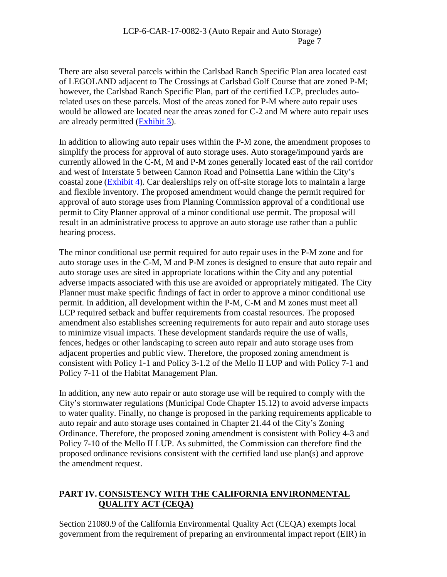There are also several parcels within the Carlsbad Ranch Specific Plan area located east of LEGOLAND adjacent to The Crossings at Carlsbad Golf Course that are zoned P-M; however, the Carlsbad Ranch Specific Plan, part of the certified LCP, precludes autorelated uses on these parcels. Most of the areas zoned for P-M where auto repair uses would be allowed are located near the areas zoned for C-2 and M where auto repair uses are already permitted [\(Exhibit 3\)](https://documents.coastal.ca.gov/reports/2018/5/F15b/F15b-5-2018-exhibits.pdf).

In addition to allowing auto repair uses within the P-M zone, the amendment proposes to simplify the process for approval of auto storage uses. Auto storage/impound yards are currently allowed in the C-M, M and P-M zones generally located east of the rail corridor and west of Interstate 5 between Cannon Road and Poinsettia Lane within the City's coastal zone [\(Exhibit 4\)](https://documents.coastal.ca.gov/reports/2018/5/F15b/F15b-5-2018-exhibits.pdf). Car dealerships rely on off-site storage lots to maintain a large and flexible inventory. The proposed amendment would change the permit required for approval of auto storage uses from Planning Commission approval of a conditional use permit to City Planner approval of a minor conditional use permit. The proposal will result in an administrative process to approve an auto storage use rather than a public hearing process.

The minor conditional use permit required for auto repair uses in the P-M zone and for auto storage uses in the C-M, M and P-M zones is designed to ensure that auto repair and auto storage uses are sited in appropriate locations within the City and any potential adverse impacts associated with this use are avoided or appropriately mitigated. The City Planner must make specific findings of fact in order to approve a minor conditional use permit. In addition, all development within the P-M, C-M and M zones must meet all LCP required setback and buffer requirements from coastal resources. The proposed amendment also establishes screening requirements for auto repair and auto storage uses to minimize visual impacts. These development standards require the use of walls, fences, hedges or other landscaping to screen auto repair and auto storage uses from adjacent properties and public view. Therefore, the proposed zoning amendment is consistent with Policy 1-1 and Policy 3-1.2 of the Mello II LUP and with Policy 7-1 and Policy 7-11 of the Habitat Management Plan.

In addition, any new auto repair or auto storage use will be required to comply with the City's stormwater regulations (Municipal Code Chapter 15.12) to avoid adverse impacts to water quality. Finally, no change is proposed in the parking requirements applicable to auto repair and auto storage uses contained in Chapter 21.44 of the City's Zoning Ordinance. Therefore, the proposed zoning amendment is consistent with Policy 4-3 and Policy 7-10 of the Mello II LUP. As submitted, the Commission can therefore find the proposed ordinance revisions consistent with the certified land use plan(s) and approve the amendment request.

## **PART IV. CONSISTENCY WITH THE CALIFORNIA ENVIRONMENTAL QUALITY ACT (CEQA)**

Section 21080.9 of the California Environmental Quality Act (CEQA) exempts local government from the requirement of preparing an environmental impact report (EIR) in